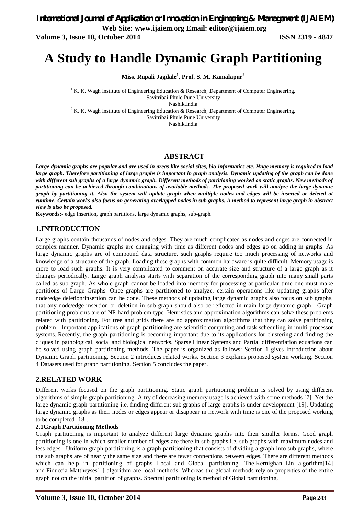*International Journal of Application or Innovation in Engineering & Management (IJAIEM)*

**Web Site: www.ijaiem.org Email: editor@ijaiem.org**

**Volume 3, Issue 10, October 2014 ISSN 2319 - 4847**

# **A Study to Handle Dynamic Graph Partitioning**

**Miss. Rupali Jagdale<sup>1</sup> , Prof. S. M. Kamalapur<sup>2</sup>**

<sup>1</sup> K. K. Wagh Institute of Engineering Education & Research, Department of Computer Engineering, Savitribai Phule Pune University Nashik,India

<sup>2</sup> K. K. Wagh Institute of Engineering Education & Research, Department of Computer Engineering, Savitribai Phule Pune University

Nashik,India

# **ABSTRACT**

*Large dynamic graphs are popular and are used in areas like social sites, bio-informatics etc. Huge memory is required to load large graph. Therefore partitioning of large graphs is important in graph analysis. Dynamic updating of the graph can be done with different sub graphs of a large dynamic graph. Different methods of partitioning worked on static graphs. New methods of partitioning can be achieved through combinations of available methods. The proposed work will analyze the large dynamic graph by partitioning it. Also the system will update graph when multiple nodes and edges will be inserted or deleted at runtime. Certain works also focus on generating overlapped nodes in sub graphs. A method to represent large graph in abstract view is also be proposed.*

**Keywords:-** edge insertion, graph partitions, large dynamic graphs, sub-graph

### **1.INTRODUCTION**

Large graphs contain thousands of nodes and edges. They are much complicated as nodes and edges are connected in complex manner. Dynamic graphs are changing with time as different nodes and edges go on adding in graphs. As large dynamic graphs are of compound data structure, such graphs require too much processing of networks and knowledge of a structure of the graph. Loading these graphs with common hardware is quite difficult. Memory usage is more to load such graphs. It is very complicated to comment on accurate size and structure of a large graph as it changes periodically. Large graph analysis starts with separation of the corresponding graph into many small parts called as sub graph. As whole graph cannot be loaded into memory for processing at particular time one must make partitions of Large Graphs. Once graphs are partitioned to analyze, certain operations like updating graphs after node/edge deletion/insertion can be done. These methods of updating large dynamic graphs also focus on sub graphs, that any node/edge insertion or deletion in sub graph should also be reflected in main large dynamic graph. Graph partitioning problems are of NP-hard problem type. Heuristics and approximation algorithms can solve these problems related with partitioning. For tree and grids there are no approximation algorithms that they can solve partitioning problem. Important applications of graph partitioning are scientific computing and task scheduling in multi-processor systems. Recently, the graph partitioning is becoming important due to its applications for clustering and finding the cliques in pathological, social and biological networks. Sparse Linear Systems and Partial differentiation equations can be solved using graph partitioning methods. The paper is organized as follows: Section 1 gives Introduction about Dynamic Graph partitioning. Section 2 introduces related works. Section 3 explains proposed system working. Section 4 Datasets used for graph partitioning. Section 5 concludes the paper.

# **2.RELATED WORK**

Different works focused on the graph partitioning. Static graph partitioning problem is solved by using different algorithms of simple graph partitioning. A try of decreasing memory usage is achieved with some methods [7]. Yet the large dynamic graph partitioning i.e. finding different sub graphs of large graphs is under development [19]. Updating large dynamic graphs as their nodes or edges appear or disappear in network with time is one of the proposed working to be completed [18].

#### **2.1Graph Partitioning Methods**

Graph partitioning is important to analyze different large dynamic graphs into their smaller forms. Good graph partitioning is one in which smaller number of edges are there in sub graphs i.e. sub graphs with maximum nodes and less edges. Uniform graph partitioning is a graph partitioning that consists of dividing a graph into sub graphs, where the sub graphs are of nearly the same size and there are fewer connections between edges. There are different methods which can help in partitioning of graphs Local and Global partitioning. The Kernighan–Lin algorithm<sup>[14]</sup> and Fiduccia-Mattheyses[1] algorithm are local methods. Whereas the global methods rely on properties of the entire graph not on the initial partition of graphs. Spectral partitioning is method of Global partitioning.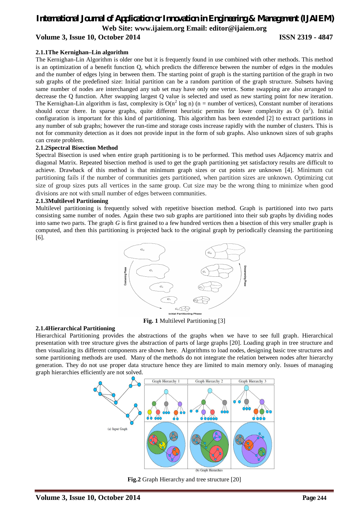# *International Journal of Application or Innovation in Engineering & Management (IJAIEM)* **Web Site: www.ijaiem.org Email: editor@ijaiem.org Volume 3, Issue 10, October 2014 ISSN 2319 - 4847**

### **2.1.1The Kernighan–Lin algorithm**

The Kernighan-Lin Algorithm is older one but it is frequently found in use combined with other methods. This method is an optimization of a benefit function Q, which predicts the difference between the number of edges in the modules and the number of edges lying in between them. The starting point of graph is the starting partition of the graph in two sub graphs of the predefined size: Initial partition can be a random partition of the graph structure. Subsets having same number of nodes are interchanged any sub set may have only one vertex. Some swapping are also arranged to decrease the Q function. After swapping largest Q value is selected and used as new starting point for new iteration. The Kernighan-Lin algorithm is fast, complexity is  $O(n^2 \log n)$  (n = number of vertices), Constant number of iterations should occur there. In sparse graphs, quite different heuristic permits for lower complexity as O  $(n^2)$ . Initial configuration is important for this kind of partitioning. This algorithm has been extended [2] to extract partitions in any number of sub graphs; however the run-time and storage costs increase rapidly with the number of clusters. This is not for community detection as it does not provide input in the form of sub graphs. Also unknown sizes of sub graphs can create problem.

#### **2.1.2Spectral Bisection Method**

Spectral Bisection is used when entire graph partitioning is to be performed. This method uses Adjacency matrix and diagonal Matrix. Repeated bisection method is used to get the graph partitioning yet satisfactory results are difficult to achieve. Drawback of this method is that minimum graph sizes or cut points are unknown [4]. Minimum cut partitioning fails if the number of communities gets partitioned, when partition sizes are unknown. Optimizing cut size of group sizes puts all vertices in the same group. Cut size may be the wrong thing to minimize when good divisions are not with small number of edges between communities.

#### **2.1.3Multilevel Partitioning**

Multilevel partitioning is frequently solved with repetitive bisection method. Graph is partitioned into two parts consisting same number of nodes. Again these two sub graphs are partitioned into their sub graphs by dividing nodes into same two parts. The graph *G* is first grained to a few hundred vertices then a bisection of this very smaller graph is computed, and then this partitioning is projected back to the original graph by periodically cleansing the partitioning [6].



**Fig. 1** Multilevel Partitioning [3]

#### **2.1.4Hierarchical Partitioning**

Hierarchical Partitioning provides the abstractions of the graphs when we have to see full graph. Hierarchical presentation with tree structure gives the abstraction of parts of large graphs [20]. Loading graph in tree structure and then visualizing its different components are shown here. Algorithms to load nodes, designing basic tree structures and some partitioning methods are used. Many of the methods do not integrate the relation between nodes after hierarchy generation. They do not use proper data structure hence they are limited to main memory only. Issues of managing graph hierarchies efficiently are not solved.



**Fig.2** Graph Hierarchy and tree structure [20]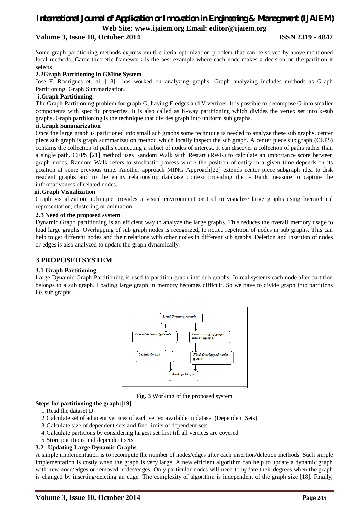# *International Journal of Application or Innovation in Engineering & Management (IJAIEM)* **Web Site: www.ijaiem.org Email: editor@ijaiem.org**

## **Volume 3, Issue 10, October 2014 ISSN 2319 - 4847**

Some graph partitioning methods express multi-criteria optimization problem that can be solved by above mentioned local methods. Game theoretic framework is the best example where each node makes a decision on the partition it selects

#### **2.2Graph Partitioning in GMine System**

Jose F. Rodrigues et. al. [18] has worked on analyzing graphs. Graph analyzing includes methods as Graph Partitioning, Graph Summarization.

### **i.Graph Partitioning:**

The Graph Partitioning problem for graph G, having E edges and V vertices. It is possible to decompose G into smaller components with specific properties. It is also called as K-way partitioning which divides the vertex set into k-sub graphs. Graph partitioning is the technique that divides graph into uniform sub graphs.

#### **ii.Graph Summarization**

Once the large graph is partitioned into small sub graphs some technique is needed to analyze these sub graphs. center piece sub graph is graph summarization method which locally inspect the sub graph. A center piece sub graph (CEPS) contains the collection of paths connecting a subset of nodes of interest. It can discover a collection of paths rather than a single path. CEPS [21] method uses Random Walk with Restart (RWR) to calculate an importance score between graph nodes. Random Walk refers to stochastic process where the position of entity in a given time depends on its position at some previous time. Another approach MING Approach[22] extends center piece subgraph idea to disk resident graphs and to the entity relationship database context providing the I- Rank measure to capture the informativeness of related nodes.

#### **iii.Graph Visualization**

Graph visualization technique provides a visual environment or tool to visualize large graphs using hierarchical representation, clustering or animation

#### **2.3 Need of the proposed system**

Dynamic Graph partitioning is an efficient way to analyze the large graphs. This reduces the overall memory usage to load large graphs. Overlapping of sub graph nodes is recognized, to notice repetition of nodes in sub graphs. This can help to get different nodes and their relations with other nodes in different sub graphs. Deletion and insertion of nodes or edges is also analyzed to update the graph dynamically.

#### **3 PROPOSED SYSTEM**

#### **3.1 Graph Partitioning**

Large Dynamic Graph Partitioning is used to partition graph into sub graphs. In real systems each node after partition belongs to a sub graph. Loading large graph in memory becomes difficult. So we have to divide graph into partitions i.e. sub graphs.



**Fig. 3** Working of the proposed system

#### **Steps for partitioning the graph:[19]**

- 1.Read the dataset D
- 2.Calculate set of adjacent vertices of each vertex available in dataset (Dependent Sets)
- 3.Calculate size of dependent sets and find limits of dependent sets
- 4.Calculate partitions by considering largest set first till all vertices are covered
- 5.Store partitions and dependent sets

#### **3.2 Updating Large Dynamic Graphs**

A simple implementation is to recompute the number of nodes/edges after each insertion/deletion methods. Such simple implementation is costly when the graph is very large. A new efficient algorithm can help to update a dynamic graph with new node/edges or removed nodes/edges. Only particular nodes will need to update their degrees when the graph is changed by inserting/deleting an edge. The complexity of algorithm is independent of the graph size [18]. Finally,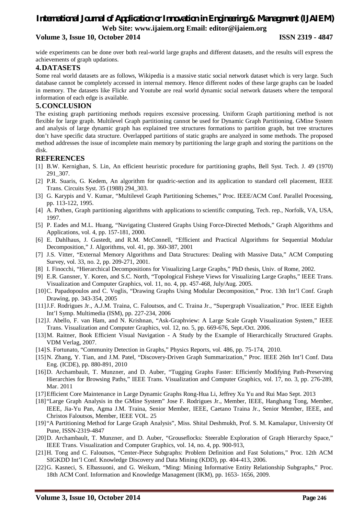# *International Journal of Application or Innovation in Engineering & Management (IJAIEM)* **Web Site: www.ijaiem.org Email: editor@ijaiem.org**

## **Volume 3, Issue 10, October 2014 ISSN 2319 - 4847**

wide experiments can be done over both real-world large graphs and different datasets, and the results will express the achievements of graph updations.

# **4.DATASETS**

Some real world datasets are as follows, Wikipedia is a massive static social network dataset which is very large. Such database cannot be completely accessed in internal memory. Hence different nodes of these large graphs can be loaded in memory. The datasets like Flickr and Youtube are real world dynamic social network datasets where the temporal information of each edge is available.

### **5.CONCLUSION**

The existing graph partitioning methods requires excessive processing. Uniform Graph partitioning method is not flexible for large graph. Multilevel Graph partitioning cannot be used for Dynamic Graph Partitioning. GMine System and analysis of large dynamic graph has explained tree structures formations to partition graph, but tree structures don't have specific data structure. Overlapped partitions of static graphs are analyzed in some methods. The proposed method addresses the issue of incomplete main memory by partitioning the large graph and storing the partitions on the disk.

### **REFERENCES**

- [1] B.W. Kernighan, S. Lin, An efficient heuristic procedure for partitioning graphs, Bell Syst. Tech. J. 49 (1970) 291\_307.
- [2] P.R. Suaris, G. Kedem, An algorithm for quadric-section and its application to standard cell placement, IEEE Trans. Circuits Syst. 35 (1988) 294\_303.
- [3] G. Karypis and V. Kumar, "Multilevel Graph Partitioning Schemes," Proc. IEEE/ACM Conf. Parallel Processing, pp. 113-122, 1995.
- [4] A. Pothen, Graph partitioning algorithms with applications to scientific computing, Tech. rep., Norfolk, VA, USA, 1997.
- [5] P. Eades and M.L. Huang, "Navigating Clustered Graphs Using Force-Directed Methods," Graph Algorithms and Applications, vol. 4, pp. 157-181, 2000.
- [6] E. Dahlhaus, J. Gustedt, and R.M. McConnell, "Efficient and Practical Algorithms for Sequential Modular Decomposition," J. Algorithms, vol. 41, pp. 360-387, 2001
- [7] J.S. Vitter, "External Memory Algorithms and Data Structures: Dealing with Massive Data," ACM Computing Survey, vol. 33, no. 2, pp. 209-271, 2001.
- [8] I. Finocchi, "Hierarchical Decompositions for Visualizing Large Graphs," PhD thesis, Univ. of Rome, 2002.
- [9] E.R. Gansner, Y. Koren, and S.C. North, "Topological Fisheye Views for Visualizing Large Graphs," IEEE Trans. Visualization and Computer Graphics, vol. 11, no. 4, pp. 457-468, July/Aug. 2005.
- [10]C. Papadopoulos and C. Voglis, "Drawing Graphs Using Modular Decomposition," Proc. 13th Int'l Conf. Graph Drawing, pp. 343-354, 2005
- [11]J.F. Rodrigues Jr., A.J.M. Traina, C. Faloutsos, and C. Traina Jr., "Supergraph Visualization," Proc. IEEE Eighth Int'l Symp. Multimedia (ISM), pp. 227-234, 2006
- [12]J. Abello, F. van Ham, and N. Krishnan, "Ask-Graphview: A Large Scale Graph Visualization System," IEEE Trans. Visualization and Computer Graphics, vol. 12, no. 5, pp. 669-676, Sept./Oct. 2006.
- [13]M. Raitner, Book Efficient Visual Navigation A Study by the Example of Hierarchically Structured Graphs. VDM Verlag, 2007.
- [14]S. Fortunato, "Community Detection in Graphs," Physics Reports, vol. 486, pp. 75-174, 2010.
- [15] N. Zhang, Y. Tian, and J.M. Patel, "Discovery-Driven Graph Summarization," Proc. IEEE 26th Int'l Conf. Data Eng. (ICDE), pp. 880-891, 2010
- [16]D. Archambault, T. Munzner, and D. Auber, "Tugging Graphs Faster: Efficiently Modifying Path-Preserving Hierarchies for Browsing Paths," IEEE Trans. Visualization and Computer Graphics, vol. 17, no. 3, pp. 276-289, Mar. 2011
- [17]Efficient Core Maintenance in Large Dynamic Graphs Rong-Hua Li, Jeffrey Xu Yu and Rui Mao Sept. 2013
- [18] "Large Graph Analysis in the GMine System" Jose F. Rodrigues Jr., Member, IEEE, Hanghang Tong, Member, IEEE, Jia-Yu Pan, Agma J.M. Traina, Senior Member, IEEE, Caetano Traina Jr., Senior Member, IEEE, and Christos Faloutsos, Member, IEEE VOL. 25
- [19] "A Partitioning Method for Large Graph Analysis", Miss. Shital Deshmukh, Prof. S. M. Kamalapur, University Of Pune, ISSN-2319-4847
- [20]D. Archambault, T. Munzner, and D. Auber, "Grouseflocks: Steerable Exploration of Graph Hierarchy Space," IEEE Trans. Visualization and Computer Graphics, vol. 14, no. 4, pp. 900-913,
- [21]H. Tong and C. Faloutsos, "Center-Piece Subgraphs: Problem Definition and Fast Solutions," Proc. 12th ACM SIGKDD Int'l Conf. Knowledge Discovery and Data Mining (KDD), pp. 404-413, 2006.
- [22]G. Kasneci, S. Elbassuoni, and G. Weikum, "Ming: Mining Informative Entity Relationship Subgraphs," Proc. 18th ACM Conf. Information and Knowledge Management (IKM), pp. 1653- 1656, 2009.